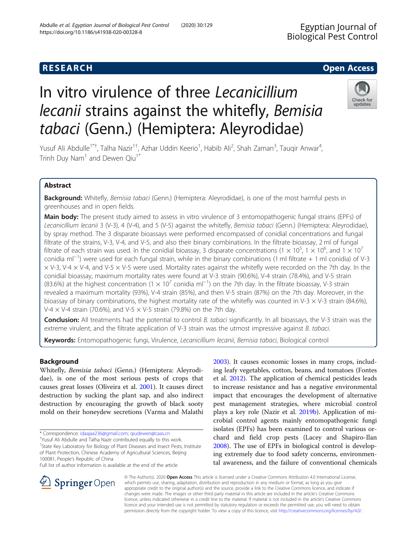# **RESEARCH CHE Open Access**

# In vitro virulence of three Lecanicillium lecanii strains against the whitefly, Bemisia tabaci (Genn.) (Hemiptera: Aleyrodidae)

Yusuf Ali Abdulle<sup>1\*†</sup>, Talha Nazir<sup>1†</sup>, Azhar Uddin Keerio<sup>1</sup>, Habib Ali<sup>2</sup>, Shah Zaman<sup>3</sup>, Tauqir Anwar<sup>4</sup> , Trinh Duy Nam<sup>1</sup> and Dewen Qiu<sup>1\*</sup>

# Abstract

Background: Whitefly, Bemisia tabaci (Genn.) (Hemiptera: Aleyrodidae), is one of the most harmful pests in greenhouses and in open fields.

Main body: The present study aimed to assess in vitro virulence of 3 entomopathogenic fungal strains (EPFs) of Lecanicillium lecanii 3 (V-3), 4 (V-4), and 5 (V-5) against the whitefly, Bemisia tabaci (Genn.) (Hemiptera: Aleyrodidae), by spray method. The 3 disparate bioassays were performed encompassed of conidial concentrations and fungal filtrate of the strains, V-3, V-4, and V-5, and also their binary combinations. In the filtrate bioassay, 2 ml of fungal filtrate of each strain was used. In the conidial bioassay, 3 disparate concentrations (1  $\times$  10<sup>5</sup>, 1  $\times$  10<sup>6</sup>, and 1  $\times$  10<sup>7</sup> conidia ml−<sup>1</sup> ) were used for each fungal strain, while in the binary combinations (1 ml filtrate + 1 ml conidia) of V-3  $\times$  V-3, V-4  $\times$  V-4, and V-5  $\times$  V-5 were used. Mortality rates against the whitefly were recorded on the 7th day. In the conidial bioassay, maximum mortality rates were found at V-3 strain (90.6%), V-4 strain (78.4%), and V-5 strain (83.6%) at the highest concentration (1 × 10<sup>7</sup> conidia ml<sup>-1</sup>) on the 7th day. In the filtrate bioassay, V-3 strain revealed a maximum mortality (93%), V-4 strain (85%), and then V-5 strain (87%) on the 7th day. Moreover, in the bioassay of binary combinations, the highest mortality rate of the whitefly was counted in V-3  $\times$  V-3 strain (84.6%), V-4  $\times$  V-4 strain (70.6%), and V-5  $\times$  V-5 strain (79.8%) on the 7th day.

Conclusion: All treatments had the potential to control B. tabaci significantly. In all bioassays, the V-3 strain was the extreme virulent, and the filtrate application of V-3 strain was the utmost impressive against B. tabaci.

Keywords: Entomopathogenic fungi, Virulence, Lecanicillium lecanii, Bemisia tabaci, Biological control

# Background

Whitefly, Bemisia tabaci (Genn.) (Hemiptera: Aleyrodidae), is one of the most serious pests of crops that causes great losses (Oliveira et al. [2001\)](#page-5-0). It causes direct destruction by sucking the plant sap, and also indirect destruction by encouraging the growth of black sooty mold on their honeydew secretions (Varma and Malathi

\* Correspondence: [idaajaa236@gmail.com;](mailto:idaajaa236@gmail.com) [qiudewen@caas.cn](mailto:qiudewen@caas.cn) †

Yusuf Ali Abdulle and Talha Nazir contributed equally to this work.

<sup>1</sup>State Key Laboratory for Biology of Plant Diseases and Insect Pests, Institute of Plant Protection, Chinese Academy of Agricultural Sciences, Beijing 100081, People's Republic of China

Full list of author information is available at the end of the article

**Springer** Open

[2003](#page-5-0)). It causes economic losses in many crops, including leafy vegetables, cotton, beans, and tomatoes (Fontes et al. [2012\)](#page-5-0). The application of chemical pesticides leads to increase resistance and has a negative environmental impact that encourages the development of alternative pest management strategies, where microbial control plays a key role (Nazir et al. [2019b](#page-5-0)). Application of microbial control agents mainly entomopathogenic fungi isolates (EPFs) has been examined to control various orchard and field crop pests (Lacey and Shapiro-Ilan [2008](#page-5-0)). The use of EPFs in biological control is developing extremely due to food safety concerns, environmental awareness, and the failure of conventional chemicals

© The Author(s). 2020 Open Access This article is licensed under a Creative Commons Attribution 4.0 International License, which permits use, sharing, adaptation, distribution and reproduction in any medium or format, as long as you give appropriate credit to the original author(s) and the source, provide a link to the Creative Commons licence, and indicate if changes were made. The images or other third party material in this article are included in the article's Creative Commons licence, unless indicated otherwise in a credit line to the material. If material is not included in the article's Creative Commons licence and your intended use is not permitted by statutory regulation or exceeds the permitted use, you will need to obtain permission directly from the copyright holder. To view a copy of this licence, visit <http://creativecommons.org/licenses/by/4.0/>.





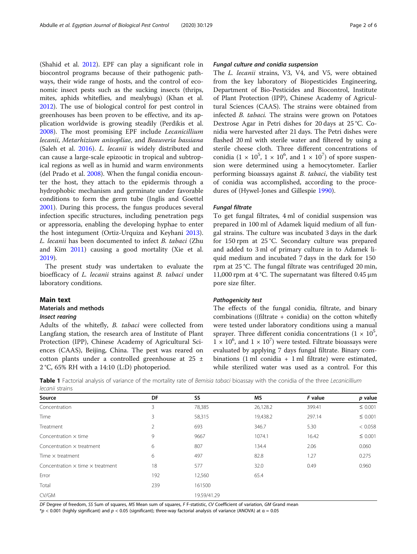<span id="page-1-0"></span>(Shahid et al. [2012](#page-5-0)). EPF can play a significant role in biocontrol programs because of their pathogenic pathways, their wide range of hosts, and the control of economic insect pests such as the sucking insects (thrips, mites, aphids whiteflies, and mealybugs) (Khan et al. [2012](#page-5-0)). The use of biological control for pest control in greenhouses has been proven to be effective, and its application worldwide is growing steadily (Perdikis et al. [2008](#page-5-0)). The most promising EPF include Lecanicillium lecanii, Metarhizium anisopliae, and Beauveria bassiana (Saleh et al. [2016\)](#page-5-0). L. lecanii is widely distributed and can cause a large-scale epizootic in tropical and subtropical regions as well as in humid and warm environments (del Prado et al. [2008](#page-5-0)). When the fungal conidia encounter the host, they attach to the epidermis through a hydrophobic mechanism and germinate under favorable conditions to form the germ tube (Inglis and Goettel [2001](#page-5-0)). During this process, the fungus produces several infection specific structures, including penetration pegs or appressoria, enabling the developing hyphae to enter the host integument (Ortiz-Urquiza and Keyhani [2013](#page-5-0)). L. lecanii has been documented to infect B. tabaci (Zhu and Kim [2011](#page-5-0)) causing a good mortality (Xie et al. [2019](#page-5-0)).

The present study was undertaken to evaluate the bioefficacy of L. lecanii strains against B. tabaci under laboratory conditions.

## Main text

#### Materials and methods

## Insect rearing

Adults of the whitefly, B. tabaci were collected from Langfang station, the research area of Institute of Plant Protection (IPP), Chinese Academy of Agricultural Sciences (CAAS), Beijing, China. The pest was reared on cotton plants under a controlled greenhouse at 25 ±  $2^{\circ}$ C, 65% RH with a 14:10 (L:D) photoperiod.

# Fungal culture and conidia suspension

The L. lecanii strains, V3, V4, and V5, were obtained from the key laboratory of Biopesticides Engineering, Department of Bio-Pesticides and Biocontrol, Institute of Plant Protection (IPP), Chinese Academy of Agricultural Sciences (CAAS). The strains were obtained from infected B. tabaci. The strains were grown on Potatoes Dextrose Agar in Petri dishes for 20 days at 25 °C. Conidia were harvested after 21 days. The Petri dishes were flashed 20 ml with sterile water and filtered by using a sterile cheese cloth. Three different concentrations of conidia (1  $\times$  10<sup>5</sup>, 1  $\times$  10<sup>6</sup>, and 1  $\times$  10<sup>7</sup>) of spore suspension were determined using a hemocytometer. Earlier performing bioassays against *B. tabaci*, the viability test of conidia was accomplished, according to the procedures of (Hywel-Jones and Gillespie [1990](#page-5-0)).

### Fungal filtrate

To get fungal filtrates, 4 ml of conidial suspension was prepared in 100 ml of Adamek liquid medium of all fungal strains. The culture was incubated 3 days in the dark for 150 rpm at 25 °C. Secondary culture was prepared and added to 3 ml of primary culture in to Adamek liquid medium and incubated 7 days in the dark for 150 rpm at 25 °C. The fungal filtrate was centrifuged 20 min, 11,000 rpm at 4 °C. The supernatant was filtered 0.45 μm pore size filter.

#### Pathogenicity test

The effects of the fungal conidia, filtrate, and binary combinations ((filtrate + conidia) on the cotton whitefly were tested under laboratory conditions using a manual sprayer. Three different conidia concentrations  $(1 \times 10^5)$  $1 \times 10^6$ , and  $1 \times 10^7$ ) were tested. Filtrate bioassays were evaluated by applying 7 days fungal filtrate. Binary combinations (1 ml conidia + 1 ml filtrate) were estimated, while sterilized water was used as a control. For this

Table 1 Factorial analysis of variance of the mortality rate of Bemisia tabaci bioassay with the conidia of the three Lecanicillium lecanii strains

| F value<br>p value                 |
|------------------------------------|
|                                    |
| $\leq 0.001$<br>26,128.2<br>399.41 |
| $\leq 0.001$<br>19,438.2<br>297.14 |
| < 0.058<br>5.30                    |
| $\leq 0.001$<br>16.42              |
| 0.060<br>2.06                      |
| 0.275<br>1.27                      |
| 0.960<br>0.49                      |
|                                    |
|                                    |
|                                    |
|                                    |

DF Degree of freedom, SS Sum of squares, MS Mean sum of squares, F F-statistic, CV Coefficient of variation, GM Grand mean

 $*p < 0.001$  (highly significant) and  $p < 0.05$  (significant); three-way factorial analysis of variance (ANOVA) at  $\alpha = 0.05$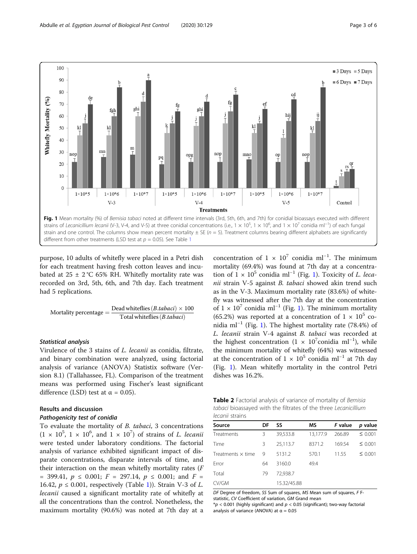<span id="page-2-0"></span>

purpose, 10 adults of whitefly were placed in a Petri dish for each treatment having fresh cotton leaves and incubated at  $25 \pm 2$  °C 65% RH. Whitefly mortality rate was recorded on 3rd, 5th, 6th, and 7th day. Each treatment had 5 replications.

$$
\text{Mortality percentage} = \frac{\text{Dead whiteflies} \left(B.\text{tabaci}\right)\times 100}{\text{Total whiteflies} \left(B.\text{tabaci}\right)}
$$

#### Statistical analysis

Virulence of the 3 stains of L. lecanii as conidia, filtrate, and binary combination were analyzed, using factorial analysis of variance (ANOVA) Statistix software (Version 8.1) (Tallahassee, FL). Comparison of the treatment means was performed using Fischer's least significant difference (LSD) test at  $\alpha = 0.05$ ).

# Results and discussion

## Pathogenicity test of conidia

To evaluate the mortality of B. tabaci, 3 concentrations  $(1 \times 10^5, 1 \times 10^6, \text{ and } 1 \times 10^7)$  of strains of *L. lecanii* were tested under laboratory conditions. The factorial analysis of variance exhibited significant impact of disparate concentrations, disparate intervals of time, and their interaction on the mean whitefly mortality rates  $(F)$ = 399.41,  $p \le 0.001$ ;  $F = 297.14$ ,  $p \le 0.001$ ; and  $F =$ 16.42,  $p \le 0.001$ , respectively (Table [1\)](#page-1-0)). Strain V-3 of *L*. lecanii caused a significant mortality rate of whitefly at all the concentrations than the control. Nonetheless, the maximum mortality (90.6%) was noted at 7th day at a

concentration of  $1 \times 10^7$  conidia ml<sup>-1</sup>. The minimum mortality (69.4%) was found at 7th day at a concentration of  $1 \times 10^5$  conidia ml<sup>-1</sup> (Fig. 1). Toxicity of *L. leca*nii strain V-5 against B. tabaci showed akin trend such as in the V-3. Maximum mortality rate (83.6%) of whitefly was witnessed after the 7th day at the concentration of  $1 \times 10^7$  conidia ml<sup>-1</sup> (Fig. 1). The minimum mortality (65.2%) was reported at a concentration of  $1 \times 10^5$  conidia ml<sup>-1</sup> (Fig. 1). The highest mortality rate (78.4%) of L. lecanii strain V-4 against B. tabaci was recorded at the highest concentration (1 × 10<sup>7</sup> conidia ml<sup>-1</sup>), while the minimum mortality of whitefly (64%) was witnessed at the concentration of 1 × 10<sup>5</sup> conidia ml<sup>-1</sup> at 7th day (Fig. 1). Mean whitefly mortality in the control Petri dishes was 16.2%.

Table 2 Factorial analysis of variance of mortality of Bemisia tabaci bioassayed with the filtrates of the three Lecanicillium lecanii strains

| Source                   | DF | SS          | MS       | F value | p value      |
|--------------------------|----|-------------|----------|---------|--------------|
| Treatments               | 3  | 39,533.8    | 13.177.9 | 266.89  | $\leq 0.001$ |
| Time                     | 3  | 25.113.7    | 8371.2   | 169.54  | $\leq 0.001$ |
| Treatments $\times$ time | 9  | 5131.2      | 570.1    | 11.55   | $\leq 0.001$ |
| Error                    | 64 | 3160.0      | 49.4     |         |              |
| Total                    | 79 | 72.938.7    |          |         |              |
| CV/GM                    |    | 15.32/45.88 |          |         |              |
|                          |    |             |          |         |              |

DF Degree of freedom, SS Sum of squares, MS Mean sum of squares, F Fstatistic, CV Coefficient of variation, GM Grand mean  $*p < 0.001$  (highly significant) and  $p < 0.05$  (significant); two-way factorial analysis of variance (ANOVA) at  $\alpha = 0.05$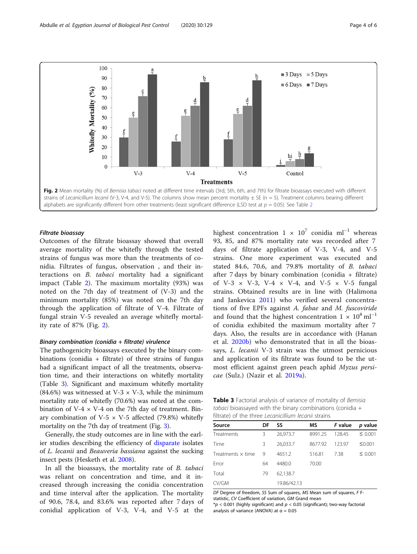<span id="page-3-0"></span>

# Filtrate bioassay

Outcomes of the filtrate bioassay showed that overall average mortality of the whitefly through the tested strains of fungus was more than the treatments of conidia. Filtrates of fungus, observation , and their interactions on B. tabaci mortality had a significant impact (Table [2](#page-2-0)). The maximum mortality (93%) was noted on the 7th day of treatment of (V-3) and the minimum mortality (85%) was noted on the 7th day through the application of filtrate of V-4. Filtrate of fungal strain V-5 revealed an average whitefly mortality rate of 87% (Fig. 2).

#### Binary combination (conidia + filtrate) virulence

The pathogenicity bioassays executed by the binary combinations (conidia + filtrate) of three strains of fungus had a significant impact of all the treatments, observation time, and their interactions on whitefly mortality (Table 3). Significant and maximum whitefly mortality (84.6%) was witnessed at V-3  $\times$  V-3, while the minimum mortality rate of whitefly (70.6%) was noted at the combination of V-4  $\times$  V-4 on the 7th day of treatment. Binary combination of V-5  $\times$  V-5 affected (79.8%) whitefly mortality on the 7th day of treatment (Fig. [3\)](#page-4-0).

Generally, the study outcomes are in line with the earlier studies describing the efficiency of [disparate](https://www.thesaurus.com/browse/disparate) isolates of L. lecanii and Beauveria bassiana against the sucking insect pests (Hesketh et al. [2008\)](#page-5-0).

In all the bioassays, the mortality rate of B. tabaci was reliant on concentration and time, and it increased through increasing the conidia concentration and time interval after the application. The mortality of 90.6, 78.4, and 83.6% was reported after 7 days of conidial application of V-3, V-4, and V-5 at the

highest concentration  $1 \times 10^7$  conidia ml<sup>-1</sup> whereas 93, 85, and 87% mortality rate was recorded after 7 days of filtrate application of V-3, V-4, and V-5 strains. One more experiment was executed and stated 84.6, 70.6, and 79.8% mortality of B. tabaci after 7 days by binary combination (conidia + filtrate) of V-3  $\times$  V-3, V-4  $\times$  V-4, and V-5  $\times$  V-5 fungal strains. Obtained results are in line with (Halimona and Jankevica [2011\)](#page-5-0) who verified several concentrations of five EPFs against A. fabae and M. fuscoviride and found that the highest concentration  $1 \times 10^8$  ml<sup>-1</sup> of conidia exhibited the maximum mortality after 7 days. Also, the results are in accordance with (Hanan et al. [2020b](#page-5-0)) who demonstrated that in all the bioassays, L. lecanii V-3 strain was the utmost pernicious and application of its filtrate was found to be the utmost efficient against green peach aphid Myzus persicae (Sulz.) (Nazir et al. [2019a\)](#page-5-0).

Table 3 Factorial analysis of variance of mortality of Bemisia tabaci bioassayed with the binary combinations (conidia  $+$ filtrate) of the three Lecanicillium lecanii strains

| Source                   | DF | SS          | ΜS      | F value | p value      |
|--------------------------|----|-------------|---------|---------|--------------|
| Treatments               | 3  | 26,973.7    | 8991.25 | 128.45  | $\leq 0.001$ |
| Time                     | 3  | 26,033.7    | 8677.92 | 123.97  | ≤0.001       |
| Treatments $\times$ time | 9  | 4651.2      | 516.81  | 7.38    | $\leq 0.001$ |
| Error                    | 64 | 4480.0      | 70.00   |         |              |
| Total                    | 79 | 62,138.7    |         |         |              |
| CV/GM                    |    | 19.86/42.13 |         |         |              |
|                          |    |             |         |         |              |

DF Degree of freedom, SS Sum of squares, MS Mean sum of squares, F Fstatistic, CV Coefficient of variation, GM Grand mean  $p$  < 0.001 (highly significant) and  $p$  < 0.05 (significant); two-way factorial analysis of variance (ANOVA) at  $\alpha = 0.05$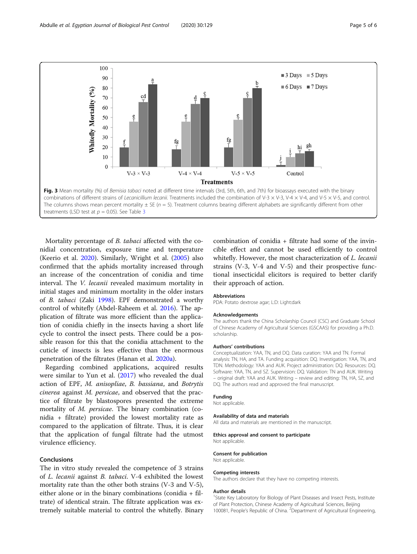<span id="page-4-0"></span>100  $\blacksquare$  3 Days  $\blacksquare$  5 Days 90  $\blacksquare$  6 Days  $\blacksquare$  7 Days 80 Whitefly Mortality (%) 70 60 50 40  $30$ 20 hi 10  $\theta$  $V-3 \times V-3$  $V-4 \times V-4$  $V-5 \times V-5$ Control **Treatments** Fig. 3 Mean mortality (%) of Bemisia tabaci noted at different time intervals (3rd, 5th, 6th, and 7th) for bioassays executed with the binary combinations of different strains of Lecanicillium lecanii. Treatments included the combination of V-3  $\times$  V-3, V-4,  $\times$  V-4, and V-5  $\times$  V-5, and control. The columns shows mean percent mortality  $\pm$  SE ( $n = 5$ ). Treatment columns bearing different alphabets are significantly different from other treatments (LSD test at  $p = 0.05$ ). See Table [3](#page-3-0)

Mortality percentage of B. tabaci affected with the conidial concentration, exposure time and temperature (Keerio et al. [2020](#page-5-0)). Similarly, Wright et al. ([2005](#page-5-0)) also confirmed that the aphids mortality increased through an increase of the concentration of conidia and time interval. The V. lecanii revealed maximum mortality in initial stages and minimum mortality in the older instars of B. tabaci (Zaki [1998](#page-5-0)). EPF demonstrated a worthy control of whitefly (Abdel-Raheem et al. [2016](#page-5-0)). The application of filtrate was more efficient than the application of conidia chiefly in the insects having a short life cycle to control the insect pests. There could be a possible reason for this that the conidia attachment to the cuticle of insects is less effective than the enormous penetration of the filtrates (Hanan et al. [2020a\)](#page-5-0).

Regarding combined applications, acquired results were similar to Yun et al. [\(2017](#page-5-0)) who revealed the dual action of EPF, M. anisopliae, B. bassiana, and Botrytis cinerea against M. persicae, and observed that the practice of filtrate by blastospores presented the extreme mortality of M. persicae. The binary combination (conidia + filtrate) provided the lowest mortality rate as compared to the application of filtrate. Thus, it is clear that the application of fungal filtrate had the utmost virulence efficiency.

# **Conclusions**

The in vitro study revealed the competence of 3 strains of L. lecanii against B. tabaci. V-4 exhibited the lowest mortality rate than the other both strains (V-3 and V-5), either alone or in the binary combinations (conidia + filtrate) of identical strain. The filtrate application was extremely suitable material to control the whitefly. Binary combination of conidia + filtrate had some of the invincible effect and cannot be used efficiently to control whitefly. However, the most characterization of *L. lecanii* strains (V-3, V-4 and V-5) and their prospective functional insecticidal elicitors is required to better clarify their approach of action.

#### Abbreviations

PDA: Potato dextrose agar; L:D: Light:dark

#### Acknowledgements

The authors thank the China Scholarship Council (CSC) and Graduate School of Chinese Academy of Agricultural Sciences (GSCAAS) for providing a Ph.D. scholarship.

#### Authors' contributions

Conceptualization: YAA, TN, and DQ. Data curation: YAA and TN. Formal analysis: TN, HA, and TA. Funding acquisition: DQ. Investigation: YAA, TN, and TDN. Methodology: YAA and AUK. Project administration: DQ. Resources: DQ. Software: YAA, TN, and SZ. Supervision: DQ. Validation: TN and AUK. Writing – original draft: YAA and AUK. Writing – review and editing: TN, HA, SZ, and DQ. The authors read and approved the final manuscript.

#### Funding

Not applicable.

#### Availability of data and materials

All data and materials are mentioned in the manuscript.

## Ethics approval and consent to participate

Not applicable.

#### Consent for publication

Not applicable.

#### Competing interests

The authors declare that they have no competing interests.

#### Author details

<sup>1</sup>State Key Laboratory for Biology of Plant Diseases and Insect Pests, Institute of Plant Protection, Chinese Academy of Agricultural Sciences, Beijing 100081, People's Republic of China. <sup>2</sup>Department of Agricultural Engineering